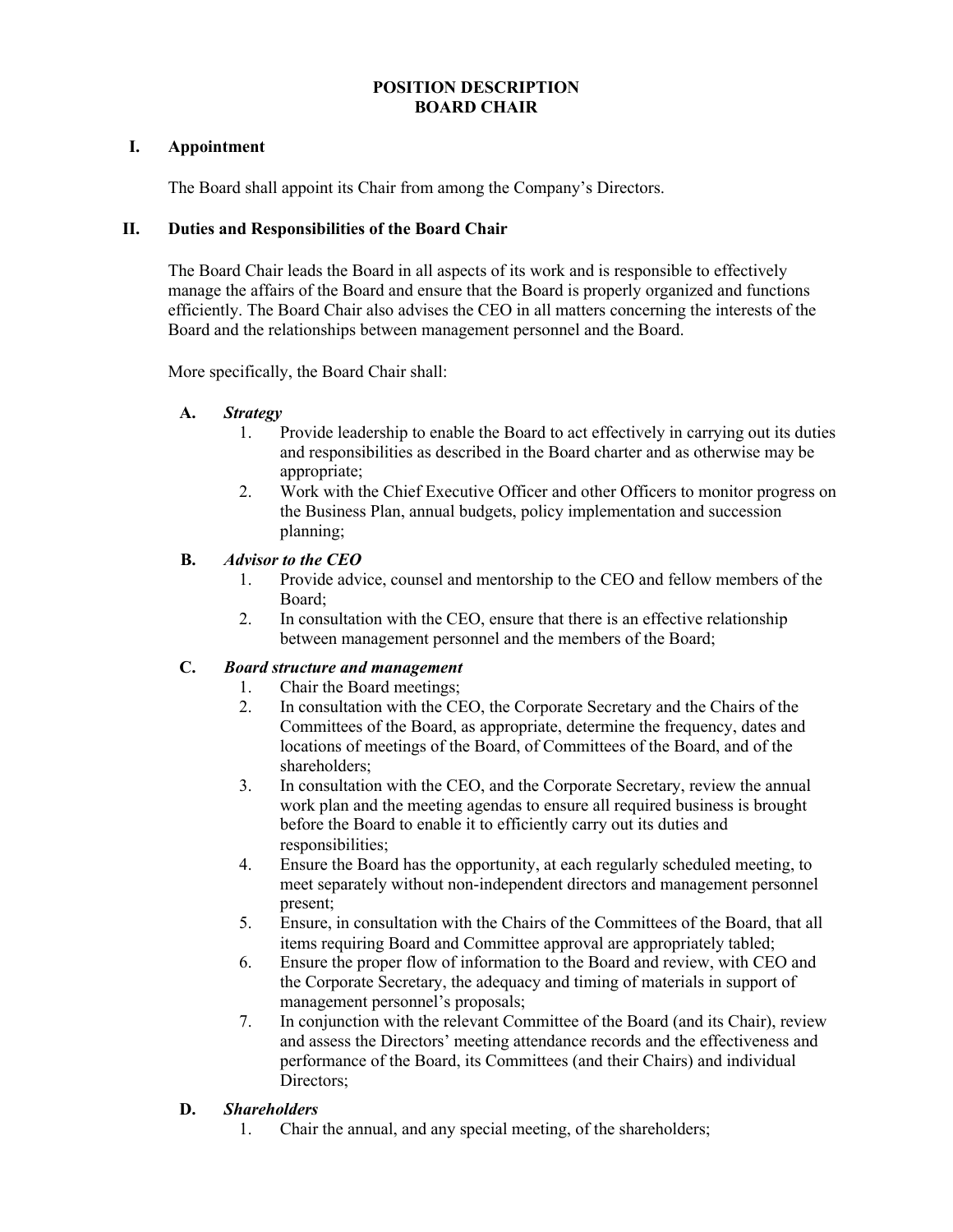## **POSITION DESCRIPTION BOARD CHAIR**

#### **I. Appointment**

The Board shall appoint its Chair from among the Company's Directors.

#### **II. Duties and Responsibilities of the Board Chair**

The Board Chair leads the Board in all aspects of its work and is responsible to effectively manage the affairs of the Board and ensure that the Board is properly organized and functions efficiently. The Board Chair also advises the CEO in all matters concerning the interests of the Board and the relationships between management personnel and the Board.

More specifically, the Board Chair shall:

## **A.** *Strategy*

- 1. Provide leadership to enable the Board to act effectively in carrying out its duties and responsibilities as described in the Board charter and as otherwise may be appropriate;
- 2. Work with the Chief Executive Officer and other Officers to monitor progress on the Business Plan, annual budgets, policy implementation and succession planning;

## **B.** *Advisor to the CEO*

- 1. Provide advice, counsel and mentorship to the CEO and fellow members of the Board;
- 2. In consultation with the CEO, ensure that there is an effective relationship between management personnel and the members of the Board;

## **C.** *Board structure and management*

- 1. Chair the Board meetings;
- 2. In consultation with the CEO, the Corporate Secretary and the Chairs of the Committees of the Board, as appropriate, determine the frequency, dates and locations of meetings of the Board, of Committees of the Board, and of the shareholders;
- 3. In consultation with the CEO, and the Corporate Secretary, review the annual work plan and the meeting agendas to ensure all required business is brought before the Board to enable it to efficiently carry out its duties and responsibilities;
- 4. Ensure the Board has the opportunity, at each regularly scheduled meeting, to meet separately without non-independent directors and management personnel present;
- 5. Ensure, in consultation with the Chairs of the Committees of the Board, that all items requiring Board and Committee approval are appropriately tabled;
- 6. Ensure the proper flow of information to the Board and review, with CEO and the Corporate Secretary, the adequacy and timing of materials in support of management personnel's proposals;
- 7. In conjunction with the relevant Committee of the Board (and its Chair), review and assess the Directors' meeting attendance records and the effectiveness and performance of the Board, its Committees (and their Chairs) and individual Directors;

#### **D.** *Shareholders*

1. Chair the annual, and any special meeting, of the shareholders;